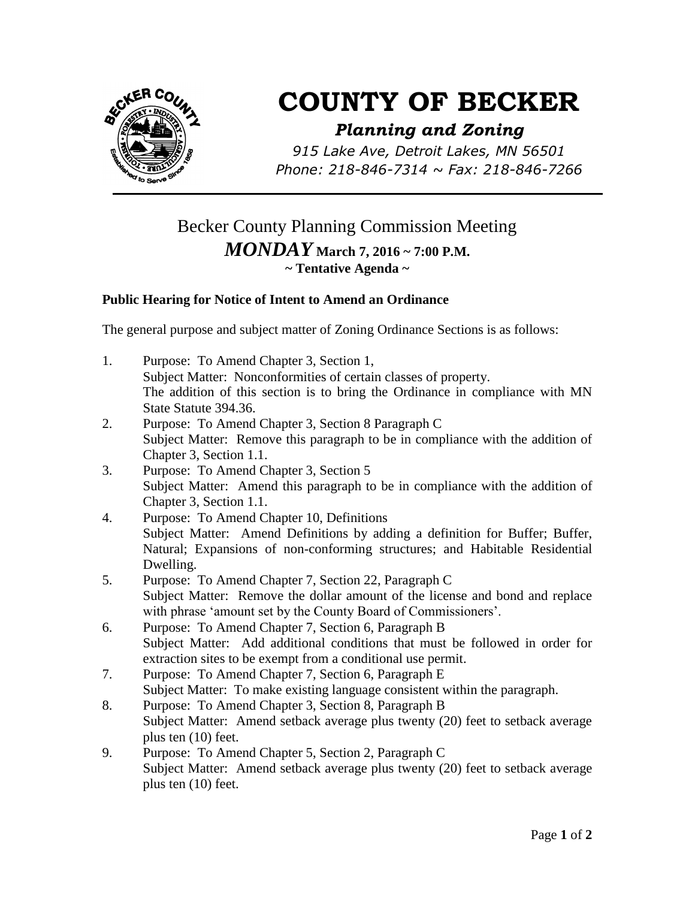

## **COUNTY OF BECKER**

## *Planning and Zoning*

*915 Lake Ave, Detroit Lakes, MN 56501 Phone: 218-846-7314 ~ Fax: 218-846-7266*

## Becker County Planning Commission Meeting *MONDAY* **March 7, 2016 ~ 7:00 P.M. ~ Tentative Agenda ~**

## **Public Hearing for Notice of Intent to Amend an Ordinance**

The general purpose and subject matter of Zoning Ordinance Sections is as follows:

- 1. Purpose: To Amend Chapter 3, Section 1, Subject Matter: Nonconformities of certain classes of property. The addition of this section is to bring the Ordinance in compliance with MN State Statute 394.36.
- 2. Purpose: To Amend Chapter 3, Section 8 Paragraph C Subject Matter: Remove this paragraph to be in compliance with the addition of Chapter 3, Section 1.1.
- 3. Purpose: To Amend Chapter 3, Section 5 Subject Matter: Amend this paragraph to be in compliance with the addition of Chapter 3, Section 1.1.
- 4. Purpose: To Amend Chapter 10, Definitions Subject Matter: Amend Definitions by adding a definition for Buffer; Buffer, Natural; Expansions of non-conforming structures; and Habitable Residential Dwelling.
- 5. Purpose: To Amend Chapter 7, Section 22, Paragraph C Subject Matter: Remove the dollar amount of the license and bond and replace with phrase 'amount set by the County Board of Commissioners'.
- 6. Purpose: To Amend Chapter 7, Section 6, Paragraph B Subject Matter: Add additional conditions that must be followed in order for extraction sites to be exempt from a conditional use permit.
- 7. Purpose: To Amend Chapter 7, Section 6, Paragraph E Subject Matter: To make existing language consistent within the paragraph.
- 8. Purpose: To Amend Chapter 3, Section 8, Paragraph B Subject Matter: Amend setback average plus twenty (20) feet to setback average plus ten (10) feet.
- 9. Purpose: To Amend Chapter 5, Section 2, Paragraph C Subject Matter: Amend setback average plus twenty (20) feet to setback average plus ten (10) feet.